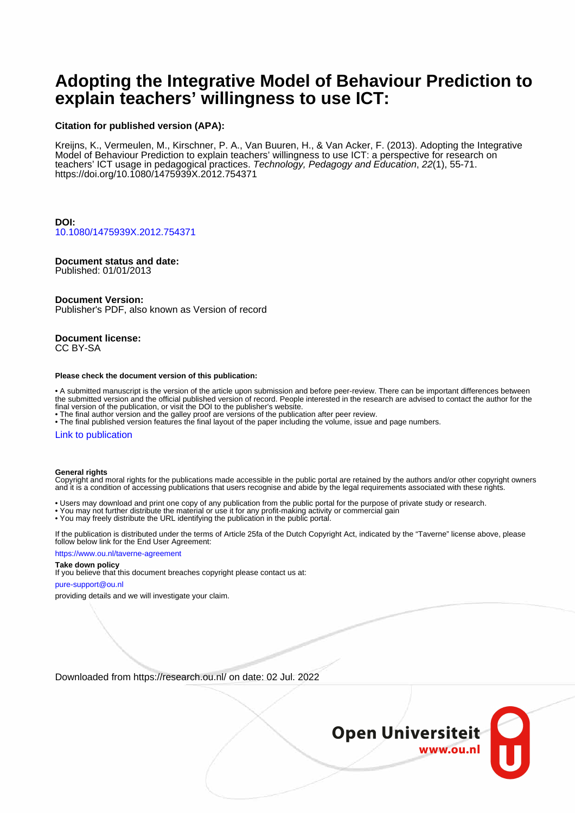# **Adopting the Integrative Model of Behaviour Prediction to explain teachers' willingness to use ICT:**

# **Citation for published version (APA):**

Kreijns, K., Vermeulen, M., Kirschner, P. A., Van Buuren, H., & Van Acker, F. (2013). Adopting the Integrative Model of Behaviour Prediction to explain teachers' willingness to use ICT: a perspective for research on teachers' ICT usage in pedagogical practices. Technology, Pedagogy and Education, 22(1), 55-71. <https://doi.org/10.1080/1475939X.2012.754371>

**DOI:** [10.1080/1475939X.2012.754371](https://doi.org/10.1080/1475939X.2012.754371)

# **Document status and date:**

Published: 01/01/2013

# **Document Version:**

Publisher's PDF, also known as Version of record

#### **Document license:** CC BY-SA

#### **Please check the document version of this publication:**

• A submitted manuscript is the version of the article upon submission and before peer-review. There can be important differences between the submitted version and the official published version of record. People interested in the research are advised to contact the author for the final version of the publication, or visit the DOI to the publisher's website.

• The final author version and the galley proof are versions of the publication after peer review.

• The final published version features the final layout of the paper including the volume, issue and page numbers.

#### [Link to publication](https://research.ou.nl/en/publications/6056703b-d61d-4a0a-80ca-9c79b73b9b2e)

#### **General rights**

Copyright and moral rights for the publications made accessible in the public portal are retained by the authors and/or other copyright owners and it is a condition of accessing publications that users recognise and abide by the legal requirements associated with these rights.

- Users may download and print one copy of any publication from the public portal for the purpose of private study or research.
- You may not further distribute the material or use it for any profit-making activity or commercial gain
- You may freely distribute the URL identifying the publication in the public portal.

If the publication is distributed under the terms of Article 25fa of the Dutch Copyright Act, indicated by the "Taverne" license above, please follow below link for the End User Agreement:

#### https://www.ou.nl/taverne-agreement

# **Take down policy**

If you believe that this document breaches copyright please contact us at:

### pure-support@ou.nl

providing details and we will investigate your claim.

Downloaded from https://research.ou.nl/ on date: 02 Jul. 2022

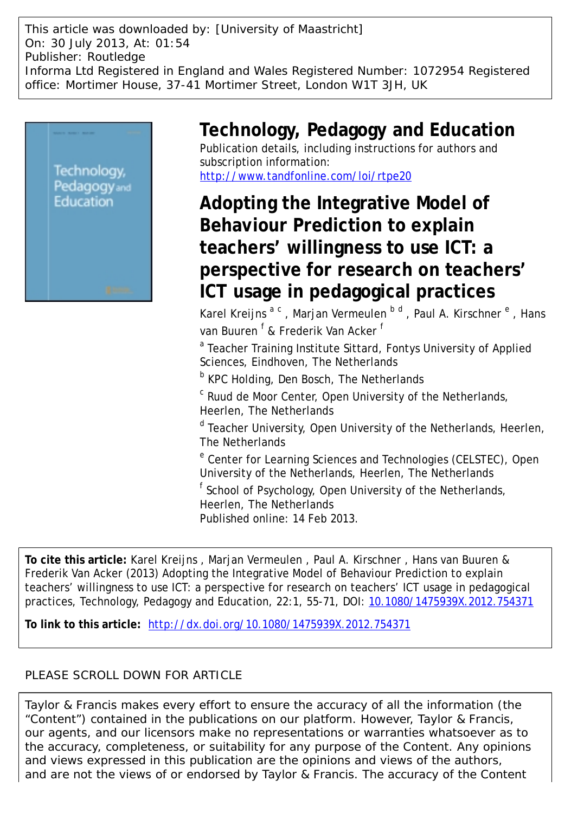This article was downloaded by: [University of Maastricht] On: 30 July 2013, At: 01:54 Publisher: Routledge Informa Ltd Registered in England and Wales Registered Number: 1072954 Registered office: Mortimer House, 37-41 Mortimer Street, London W1T 3JH, UK



# **Technology, Pedagogy and Education**

Publication details, including instructions for authors and subscription information: <http://www.tandfonline.com/loi/rtpe20>

**Adopting the Integrative Model of Behaviour Prediction to explain teachers' willingness to use ICT: a perspective for research on teachers' ICT usage in pedagogical practices**

Karel Kreijns <sup>a c</sup>, Marjan Vermeulen <sup>b d</sup>, Paul A. Kirschner <sup>e</sup>, Hans van Buuren <sup>f</sup> & Frederik Van Acker <sup>f</sup>

<sup>a</sup> Teacher Training Institute Sittard, Fontys University of Applied Sciences, Eindhoven, The Netherlands

**b** KPC Holding, Den Bosch, The Netherlands

<sup>c</sup> Ruud de Moor Center, Open University of the Netherlands, Heerlen, The Netherlands

<sup>d</sup> Teacher University, Open University of the Netherlands, Heerlen, The Netherlands

<sup>e</sup> Center for Learning Sciences and Technologies (CELSTEC), Open University of the Netherlands, Heerlen, The Netherlands

<sup>f</sup> School of Psychology, Open University of the Netherlands, Heerlen, The Netherlands

Published online: 14 Feb 2013.

**To cite this article:** Karel Kreijns , Marjan Vermeulen , Paul A. Kirschner , Hans van Buuren & Frederik Van Acker (2013) Adopting the Integrative Model of Behaviour Prediction to explain teachers' willingness to use ICT: a perspective for research on teachers' ICT usage in pedagogical practices, Technology, Pedagogy and Education, 22:1, 55-71, DOI: [10.1080/1475939X.2012.754371](http://www.tandfonline.com/action/showCitFormats?doi=10.1080/1475939X.2012.754371)

**To link to this article:** <http://dx.doi.org/10.1080/1475939X.2012.754371>

# PLEASE SCROLL DOWN FOR ARTICLE

Taylor & Francis makes every effort to ensure the accuracy of all the information (the "Content") contained in the publications on our platform. However, Taylor & Francis, our agents, and our licensors make no representations or warranties whatsoever as to the accuracy, completeness, or suitability for any purpose of the Content. Any opinions and views expressed in this publication are the opinions and views of the authors, and are not the views of or endorsed by Taylor & Francis. The accuracy of the Content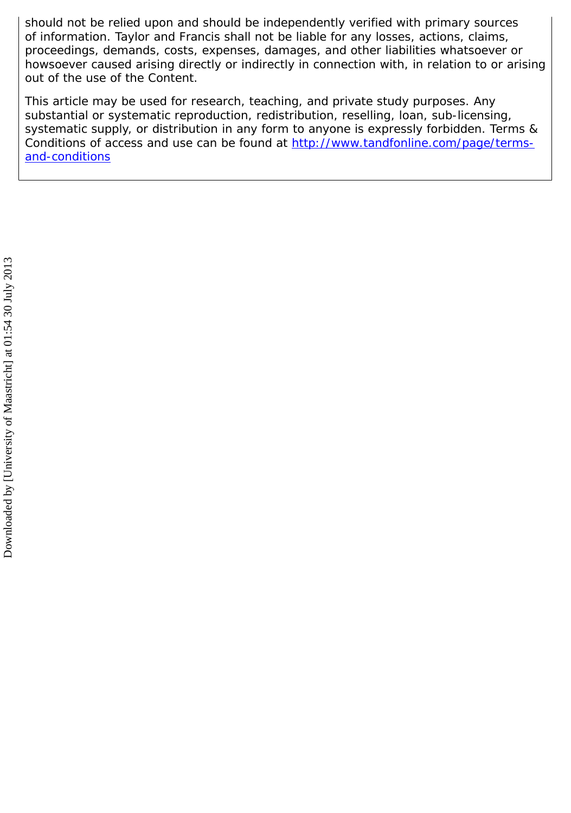should not be relied upon and should be independently verified with primary sources of information. Taylor and Francis shall not be liable for any losses, actions, claims, proceedings, demands, costs, expenses, damages, and other liabilities whatsoever or howsoever caused arising directly or indirectly in connection with, in relation to or arising out of the use of the Content.

This article may be used for research, teaching, and private study purposes. Any substantial or systematic reproduction, redistribution, reselling, loan, sub-licensing, systematic supply, or distribution in any form to anyone is expressly forbidden. Terms & Conditions of access and use can be found at [http://www.tandfonline.com/page/terms](http://www.tandfonline.com/page/terms-and-conditions)[and-conditions](http://www.tandfonline.com/page/terms-and-conditions)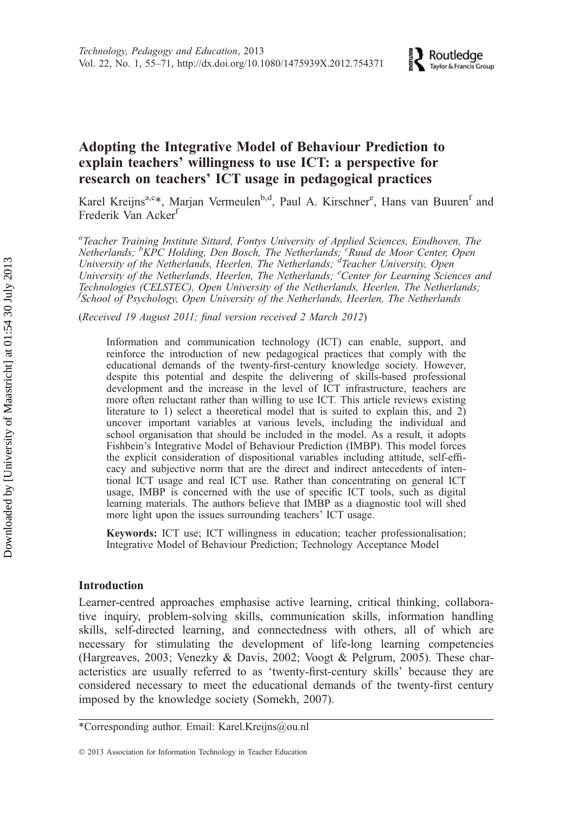# Adopting the Integrative Model of Behaviour Prediction to explain teachers' willingness to use ICT: a perspective for research on teachers' ICT usage in pedagogical practices

Karel Kreijns<sup>a,c\*</sup>, Marjan Vermeulen<sup>b,d</sup>, Paul A. Kirschner<sup>e</sup>, Hans van Buuren<sup>f</sup> and Frederik Van Acker<sup>f</sup>

<sup>a</sup>Teacher Training Institute Sittard, Fontys University of Applied Sciences, Eindhoven, The Netherlands; <sup>b</sup>KPC Holding, Den Bosch, The Netherlands; <sup>c</sup>Ruud de Moor Center, Open<br>University of the Netherlands, Heerlen, The Netherlands; <sup>d</sup>Teacher University, Open University of the Netherlands, Heerlen, The Netherlands; <sup>e</sup>Center for Learning Sciences and Technologies (CELSTEC), Open University of the Netherlands, Heerlen, The Netherlands; f School of Psychology, Open University of the Netherlands, Heerlen, The Netherlands

(Received 19 August 2011; final version received 2 March 2012)

Information and communication technology (ICT) can enable, support, and reinforce the introduction of new pedagogical practices that comply with the educational demands of the twenty-first-century knowledge society. However, despite this potential and despite the delivering of skills-based professional development and the increase in the level of ICT infrastructure, teachers are more often reluctant rather than willing to use ICT. This article reviews existing literature to 1) select a theoretical model that is suited to explain this, and 2) uncover important variables at various levels, including the individual and school organisation that should be included in the model. As a result, it adopts Fishbein's Integrative Model of Behaviour Prediction (IMBP). This model forces the explicit consideration of dispositional variables including attitude, self-efficacy and subjective norm that are the direct and indirect antecedents of intentional ICT usage and real ICT use. Rather than concentrating on general ICT usage, IMBP is concerned with the use of specific ICT tools, such as digital learning materials. The authors believe that IMBP as a diagnostic tool will shed more light upon the issues surrounding teachers' ICT usage.

Keywords: ICT use; ICT willingness in education; teacher professionalisation; Integrative Model of Behaviour Prediction; Technology Acceptance Model

# Introduction

Learner-centred approaches emphasise active learning, critical thinking, collaborative inquiry, problem-solving skills, communication skills, information handling skills, self-directed learning, and connectedness with others, all of which are necessary for stimulating the development of life-long learning competencies (Hargreaves, 2003; Venezky & Davis, 2002; Voogt & Pelgrum, 2005). These characteristics are usually referred to as 'twenty-first-century skills' because they are considered necessary to meet the educational demands of the twenty-first century imposed by the knowledge society (Somekh, 2007).

2013 Association for Information Technology in Teacher Education

<sup>\*</sup>Corresponding author. Email: Karel.Kreijns@ou.nl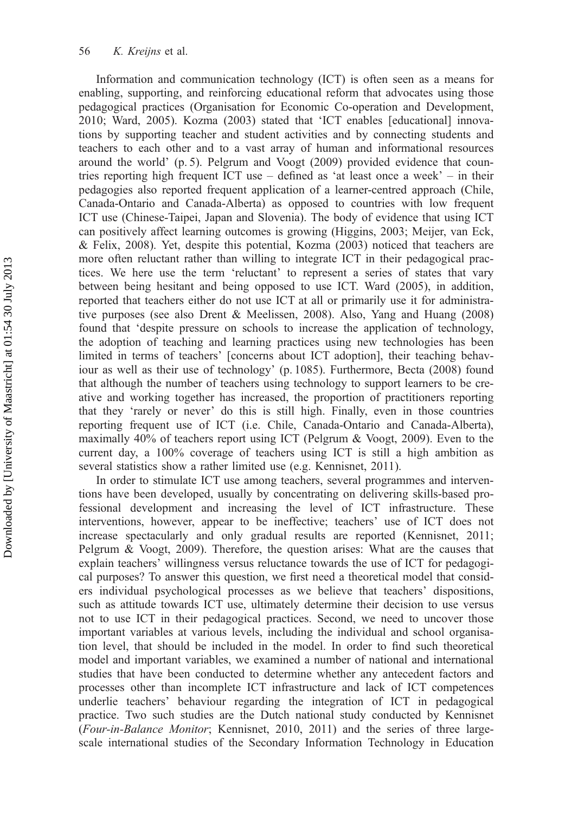Information and communication technology (ICT) is often seen as a means for enabling, supporting, and reinforcing educational reform that advocates using those pedagogical practices (Organisation for Economic Co-operation and Development, 2010; Ward, 2005). Kozma (2003) stated that 'ICT enables [educational] innovations by supporting teacher and student activities and by connecting students and teachers to each other and to a vast array of human and informational resources around the world' (p. 5). Pelgrum and Voogt (2009) provided evidence that countries reporting high frequent ICT use – defined as 'at least once a week' – in their pedagogies also reported frequent application of a learner-centred approach (Chile, Canada-Ontario and Canada-Alberta) as opposed to countries with low frequent ICT use (Chinese-Taipei, Japan and Slovenia). The body of evidence that using ICT can positively affect learning outcomes is growing (Higgins, 2003; Meijer, van Eck, & Felix, 2008). Yet, despite this potential, Kozma (2003) noticed that teachers are more often reluctant rather than willing to integrate ICT in their pedagogical practices. We here use the term 'reluctant' to represent a series of states that vary between being hesitant and being opposed to use ICT. Ward (2005), in addition, reported that teachers either do not use ICT at all or primarily use it for administrative purposes (see also Drent & Meelissen, 2008). Also, Yang and Huang (2008) found that 'despite pressure on schools to increase the application of technology, the adoption of teaching and learning practices using new technologies has been limited in terms of teachers' [concerns about ICT adoption], their teaching behaviour as well as their use of technology' (p. 1085). Furthermore, Becta (2008) found that although the number of teachers using technology to support learners to be creative and working together has increased, the proportion of practitioners reporting that they 'rarely or never' do this is still high. Finally, even in those countries reporting frequent use of ICT (i.e. Chile, Canada-Ontario and Canada-Alberta), maximally 40% of teachers report using ICT (Pelgrum & Voogt, 2009). Even to the current day, a 100% coverage of teachers using ICT is still a high ambition as several statistics show a rather limited use (e.g. Kennisnet, 2011).

In order to stimulate ICT use among teachers, several programmes and interventions have been developed, usually by concentrating on delivering skills-based professional development and increasing the level of ICT infrastructure. These interventions, however, appear to be ineffective; teachers' use of ICT does not increase spectacularly and only gradual results are reported (Kennisnet, 2011; Pelgrum & Voogt, 2009). Therefore, the question arises: What are the causes that explain teachers' willingness versus reluctance towards the use of ICT for pedagogical purposes? To answer this question, we first need a theoretical model that considers individual psychological processes as we believe that teachers' dispositions, such as attitude towards ICT use, ultimately determine their decision to use versus not to use ICT in their pedagogical practices. Second, we need to uncover those important variables at various levels, including the individual and school organisation level, that should be included in the model. In order to find such theoretical model and important variables, we examined a number of national and international studies that have been conducted to determine whether any antecedent factors and processes other than incomplete ICT infrastructure and lack of ICT competences underlie teachers' behaviour regarding the integration of ICT in pedagogical practice. Two such studies are the Dutch national study conducted by Kennisnet (Four-in-Balance Monitor; Kennisnet, 2010, 2011) and the series of three largescale international studies of the Secondary Information Technology in Education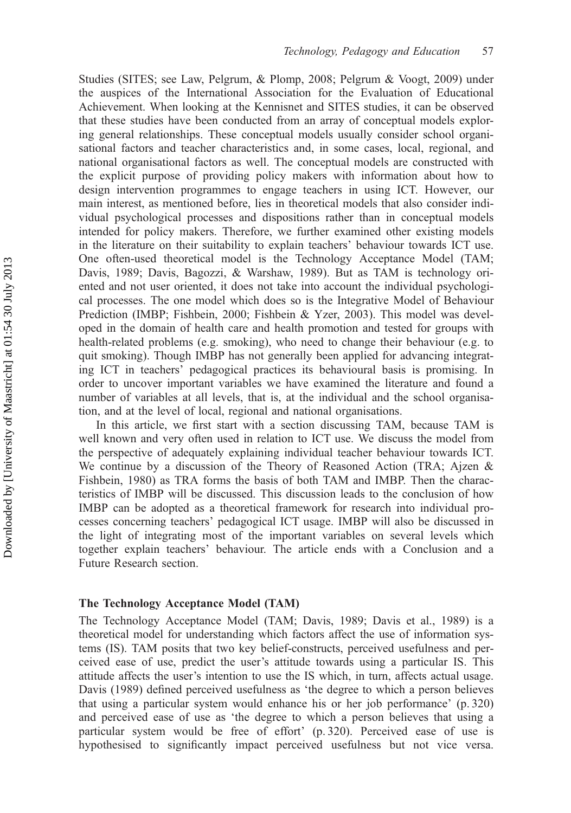Studies (SITES; see Law, Pelgrum, & Plomp, 2008; Pelgrum & Voogt, 2009) under the auspices of the International Association for the Evaluation of Educational Achievement. When looking at the Kennisnet and SITES studies, it can be observed that these studies have been conducted from an array of conceptual models exploring general relationships. These conceptual models usually consider school organisational factors and teacher characteristics and, in some cases, local, regional, and national organisational factors as well. The conceptual models are constructed with the explicit purpose of providing policy makers with information about how to design intervention programmes to engage teachers in using ICT. However, our main interest, as mentioned before, lies in theoretical models that also consider individual psychological processes and dispositions rather than in conceptual models intended for policy makers. Therefore, we further examined other existing models in the literature on their suitability to explain teachers' behaviour towards ICT use. One often-used theoretical model is the Technology Acceptance Model (TAM; Davis, 1989; Davis, Bagozzi, & Warshaw, 1989). But as TAM is technology oriented and not user oriented, it does not take into account the individual psychological processes. The one model which does so is the Integrative Model of Behaviour Prediction (IMBP; Fishbein, 2000; Fishbein & Yzer, 2003). This model was developed in the domain of health care and health promotion and tested for groups with health-related problems (e.g. smoking), who need to change their behaviour (e.g. to quit smoking). Though IMBP has not generally been applied for advancing integrating ICT in teachers' pedagogical practices its behavioural basis is promising. In order to uncover important variables we have examined the literature and found a number of variables at all levels, that is, at the individual and the school organisation, and at the level of local, regional and national organisations.

In this article, we first start with a section discussing TAM, because TAM is well known and very often used in relation to ICT use. We discuss the model from the perspective of adequately explaining individual teacher behaviour towards ICT. We continue by a discussion of the Theory of Reasoned Action (TRA; Ajzen & Fishbein, 1980) as TRA forms the basis of both TAM and IMBP. Then the characteristics of IMBP will be discussed. This discussion leads to the conclusion of how IMBP can be adopted as a theoretical framework for research into individual processes concerning teachers' pedagogical ICT usage. IMBP will also be discussed in the light of integrating most of the important variables on several levels which together explain teachers' behaviour. The article ends with a Conclusion and a Future Research section.

## The Technology Acceptance Model (TAM)

The Technology Acceptance Model (TAM; Davis, 1989; Davis et al., 1989) is a theoretical model for understanding which factors affect the use of information systems (IS). TAM posits that two key belief-constructs, perceived usefulness and perceived ease of use, predict the user's attitude towards using a particular IS. This attitude affects the user's intention to use the IS which, in turn, affects actual usage. Davis (1989) defined perceived usefulness as 'the degree to which a person believes that using a particular system would enhance his or her job performance' (p. 320) and perceived ease of use as 'the degree to which a person believes that using a particular system would be free of effort' (p. 320). Perceived ease of use is hypothesised to significantly impact perceived usefulness but not vice versa.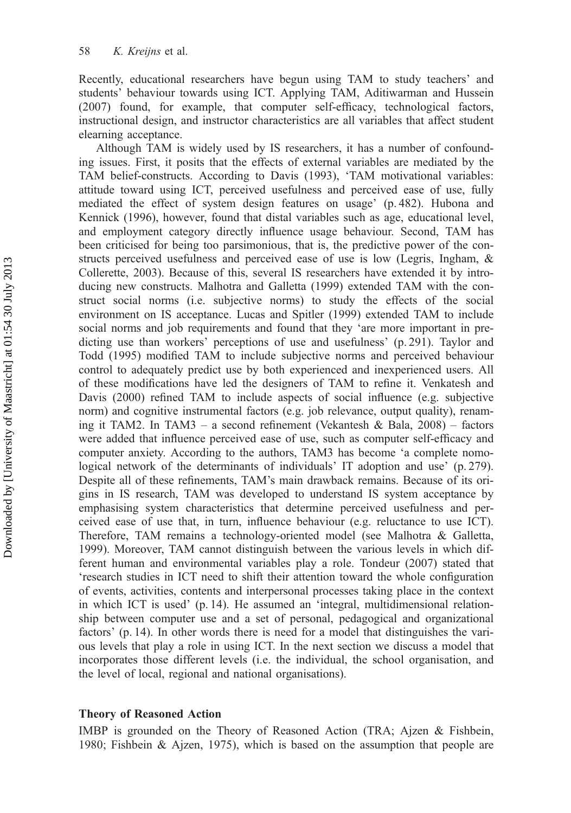Recently, educational researchers have begun using TAM to study teachers' and students' behaviour towards using ICT. Applying TAM, Aditiwarman and Hussein (2007) found, for example, that computer self-efficacy, technological factors, instructional design, and instructor characteristics are all variables that affect student elearning acceptance.

Although TAM is widely used by IS researchers, it has a number of confounding issues. First, it posits that the effects of external variables are mediated by the TAM belief-constructs. According to Davis (1993), 'TAM motivational variables: attitude toward using ICT, perceived usefulness and perceived ease of use, fully mediated the effect of system design features on usage' (p. 482). Hubona and Kennick (1996), however, found that distal variables such as age, educational level, and employment category directly influence usage behaviour. Second, TAM has been criticised for being too parsimonious, that is, the predictive power of the constructs perceived usefulness and perceived ease of use is low (Legris, Ingham, & Collerette, 2003). Because of this, several IS researchers have extended it by introducing new constructs. Malhotra and Galletta (1999) extended TAM with the construct social norms (i.e. subjective norms) to study the effects of the social environment on IS acceptance. Lucas and Spitler (1999) extended TAM to include social norms and job requirements and found that they 'are more important in predicting use than workers' perceptions of use and usefulness' (p. 291). Taylor and Todd (1995) modified TAM to include subjective norms and perceived behaviour control to adequately predict use by both experienced and inexperienced users. All of these modifications have led the designers of TAM to refine it. Venkatesh and Davis (2000) refined TAM to include aspects of social influence (e.g. subjective norm) and cognitive instrumental factors (e.g. job relevance, output quality), renaming it TAM2. In TAM3 – a second refinement (Vekantesh & Bala,  $2008$ ) – factors were added that influence perceived ease of use, such as computer self-efficacy and computer anxiety. According to the authors, TAM3 has become 'a complete nomological network of the determinants of individuals' IT adoption and use' (p. 279). Despite all of these refinements, TAM's main drawback remains. Because of its origins in IS research, TAM was developed to understand IS system acceptance by emphasising system characteristics that determine perceived usefulness and perceived ease of use that, in turn, influence behaviour (e.g. reluctance to use ICT). Therefore, TAM remains a technology-oriented model (see Malhotra & Galletta, 1999). Moreover, TAM cannot distinguish between the various levels in which different human and environmental variables play a role. Tondeur (2007) stated that 'research studies in ICT need to shift their attention toward the whole configuration of events, activities, contents and interpersonal processes taking place in the context in which ICT is used' (p. 14). He assumed an 'integral, multidimensional relationship between computer use and a set of personal, pedagogical and organizational factors' (p. 14). In other words there is need for a model that distinguishes the various levels that play a role in using ICT. In the next section we discuss a model that incorporates those different levels (i.e. the individual, the school organisation, and the level of local, regional and national organisations).

# Theory of Reasoned Action

IMBP is grounded on the Theory of Reasoned Action (TRA; Ajzen & Fishbein, 1980; Fishbein & Ajzen, 1975), which is based on the assumption that people are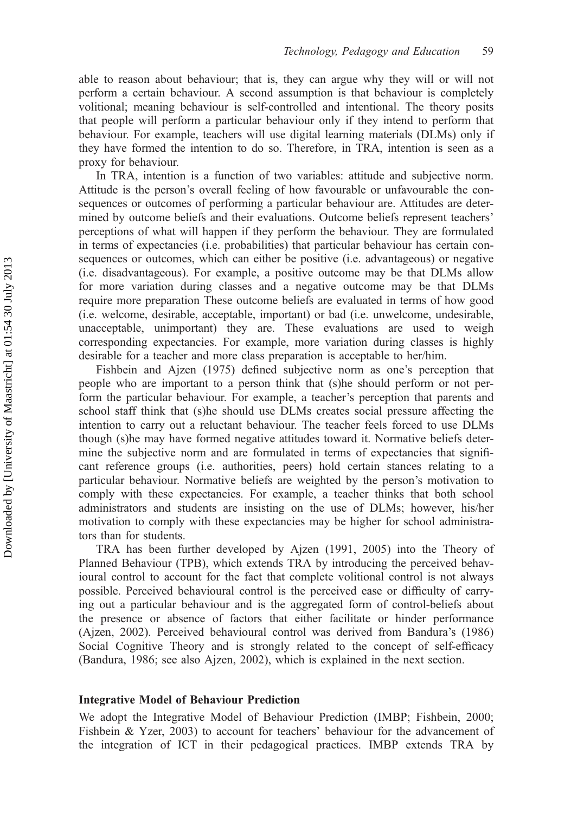able to reason about behaviour; that is, they can argue why they will or will not perform a certain behaviour. A second assumption is that behaviour is completely volitional; meaning behaviour is self-controlled and intentional. The theory posits that people will perform a particular behaviour only if they intend to perform that behaviour. For example, teachers will use digital learning materials (DLMs) only if they have formed the intention to do so. Therefore, in TRA, intention is seen as a proxy for behaviour.

In TRA, intention is a function of two variables: attitude and subjective norm. Attitude is the person's overall feeling of how favourable or unfavourable the consequences or outcomes of performing a particular behaviour are. Attitudes are determined by outcome beliefs and their evaluations. Outcome beliefs represent teachers' perceptions of what will happen if they perform the behaviour. They are formulated in terms of expectancies (i.e. probabilities) that particular behaviour has certain consequences or outcomes, which can either be positive (i.e. advantageous) or negative (i.e. disadvantageous). For example, a positive outcome may be that DLMs allow for more variation during classes and a negative outcome may be that DLMs require more preparation These outcome beliefs are evaluated in terms of how good (i.e. welcome, desirable, acceptable, important) or bad (i.e. unwelcome, undesirable, unacceptable, unimportant) they are. These evaluations are used to weigh corresponding expectancies. For example, more variation during classes is highly desirable for a teacher and more class preparation is acceptable to her/him.

Fishbein and Ajzen (1975) defined subjective norm as one's perception that people who are important to a person think that (s)he should perform or not perform the particular behaviour. For example, a teacher's perception that parents and school staff think that (s)he should use DLMs creates social pressure affecting the intention to carry out a reluctant behaviour. The teacher feels forced to use DLMs though (s)he may have formed negative attitudes toward it. Normative beliefs determine the subjective norm and are formulated in terms of expectancies that significant reference groups (i.e. authorities, peers) hold certain stances relating to a particular behaviour. Normative beliefs are weighted by the person's motivation to comply with these expectancies. For example, a teacher thinks that both school administrators and students are insisting on the use of DLMs; however, his/her motivation to comply with these expectancies may be higher for school administrators than for students.

TRA has been further developed by Ajzen (1991, 2005) into the Theory of Planned Behaviour (TPB), which extends TRA by introducing the perceived behavioural control to account for the fact that complete volitional control is not always possible. Perceived behavioural control is the perceived ease or difficulty of carrying out a particular behaviour and is the aggregated form of control-beliefs about the presence or absence of factors that either facilitate or hinder performance (Ajzen, 2002). Perceived behavioural control was derived from Bandura's (1986) Social Cognitive Theory and is strongly related to the concept of self-efficacy (Bandura, 1986; see also Ajzen, 2002), which is explained in the next section.

### Integrative Model of Behaviour Prediction

We adopt the Integrative Model of Behaviour Prediction (IMBP; Fishbein, 2000; Fishbein & Yzer, 2003) to account for teachers' behaviour for the advancement of the integration of ICT in their pedagogical practices. IMBP extends TRA by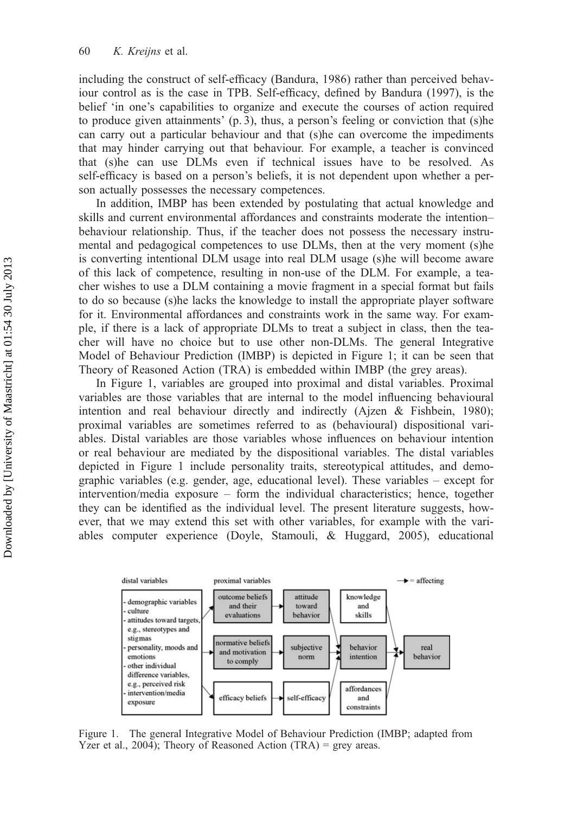including the construct of self-efficacy (Bandura, 1986) rather than perceived behaviour control as is the case in TPB. Self-efficacy, defined by Bandura (1997), is the belief 'in one's capabilities to organize and execute the courses of action required to produce given attainments'  $(p, 3)$ , thus, a person's feeling or conviction that (s)he can carry out a particular behaviour and that (s)he can overcome the impediments that may hinder carrying out that behaviour. For example, a teacher is convinced that (s)he can use DLMs even if technical issues have to be resolved. As self-efficacy is based on a person's beliefs, it is not dependent upon whether a person actually possesses the necessary competences.

In addition, IMBP has been extended by postulating that actual knowledge and skills and current environmental affordances and constraints moderate the intention– behaviour relationship. Thus, if the teacher does not possess the necessary instrumental and pedagogical competences to use DLMs, then at the very moment (s)he is converting intentional DLM usage into real DLM usage (s)he will become aware of this lack of competence, resulting in non-use of the DLM. For example, a teacher wishes to use a DLM containing a movie fragment in a special format but fails to do so because (s)he lacks the knowledge to install the appropriate player software for it. Environmental affordances and constraints work in the same way. For example, if there is a lack of appropriate DLMs to treat a subject in class, then the teacher will have no choice but to use other non-DLMs. The general Integrative Model of Behaviour Prediction (IMBP) is depicted in Figure 1; it can be seen that Theory of Reasoned Action (TRA) is embedded within IMBP (the grey areas).

In Figure 1, variables are grouped into proximal and distal variables. Proximal variables are those variables that are internal to the model influencing behavioural intention and real behaviour directly and indirectly (Ajzen & Fishbein, 1980); proximal variables are sometimes referred to as (behavioural) dispositional variables. Distal variables are those variables whose influences on behaviour intention or real behaviour are mediated by the dispositional variables. The distal variables depicted in Figure 1 include personality traits, stereotypical attitudes, and demographic variables (e.g. gender, age, educational level). These variables – except for intervention/media exposure – form the individual characteristics; hence, together they can be identified as the individual level. The present literature suggests, however, that we may extend this set with other variables, for example with the variables computer experience (Doyle, Stamouli, & Huggard, 2005), educational



Figure 1. The general Integrative Model of Behaviour Prediction (IMBP; adapted from Yzer et al., 2004); Theory of Reasoned Action (TRA) = grey areas.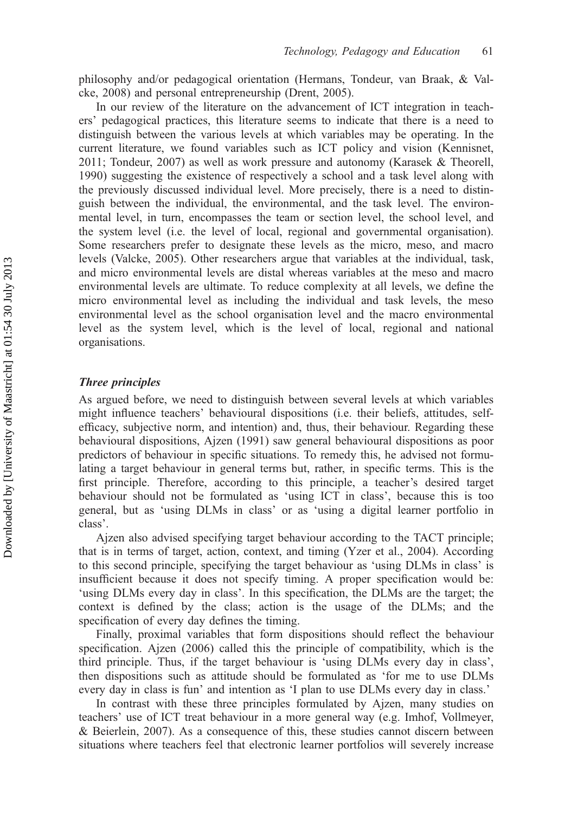philosophy and/or pedagogical orientation (Hermans, Tondeur, van Braak, & Valcke, 2008) and personal entrepreneurship (Drent, 2005).

In our review of the literature on the advancement of ICT integration in teachers' pedagogical practices, this literature seems to indicate that there is a need to distinguish between the various levels at which variables may be operating. In the current literature, we found variables such as ICT policy and vision (Kennisnet, 2011; Tondeur, 2007) as well as work pressure and autonomy (Karasek & Theorell, 1990) suggesting the existence of respectively a school and a task level along with the previously discussed individual level. More precisely, there is a need to distinguish between the individual, the environmental, and the task level. The environmental level, in turn, encompasses the team or section level, the school level, and the system level (i.e. the level of local, regional and governmental organisation). Some researchers prefer to designate these levels as the micro, meso, and macro levels (Valcke, 2005). Other researchers argue that variables at the individual, task, and micro environmental levels are distal whereas variables at the meso and macro environmental levels are ultimate. To reduce complexity at all levels, we define the micro environmental level as including the individual and task levels, the meso environmental level as the school organisation level and the macro environmental level as the system level, which is the level of local, regional and national organisations.

### Three principles

As argued before, we need to distinguish between several levels at which variables might influence teachers' behavioural dispositions (i.e. their beliefs, attitudes, selfefficacy, subjective norm, and intention) and, thus, their behaviour. Regarding these behavioural dispositions, Ajzen (1991) saw general behavioural dispositions as poor predictors of behaviour in specific situations. To remedy this, he advised not formulating a target behaviour in general terms but, rather, in specific terms. This is the first principle. Therefore, according to this principle, a teacher's desired target behaviour should not be formulated as 'using ICT in class', because this is too general, but as 'using DLMs in class' or as 'using a digital learner portfolio in class'.

Ajzen also advised specifying target behaviour according to the TACT principle; that is in terms of target, action, context, and timing (Yzer et al., 2004). According to this second principle, specifying the target behaviour as 'using DLMs in class' is insufficient because it does not specify timing. A proper specification would be: 'using DLMs every day in class'. In this specification, the DLMs are the target; the context is defined by the class; action is the usage of the DLMs; and the specification of every day defines the timing.

Finally, proximal variables that form dispositions should reflect the behaviour specification. Ajzen (2006) called this the principle of compatibility, which is the third principle. Thus, if the target behaviour is 'using DLMs every day in class', then dispositions such as attitude should be formulated as 'for me to use DLMs every day in class is fun' and intention as 'I plan to use DLMs every day in class.'

In contrast with these three principles formulated by Ajzen, many studies on teachers' use of ICT treat behaviour in a more general way (e.g. Imhof, Vollmeyer, & Beierlein, 2007). As a consequence of this, these studies cannot discern between situations where teachers feel that electronic learner portfolios will severely increase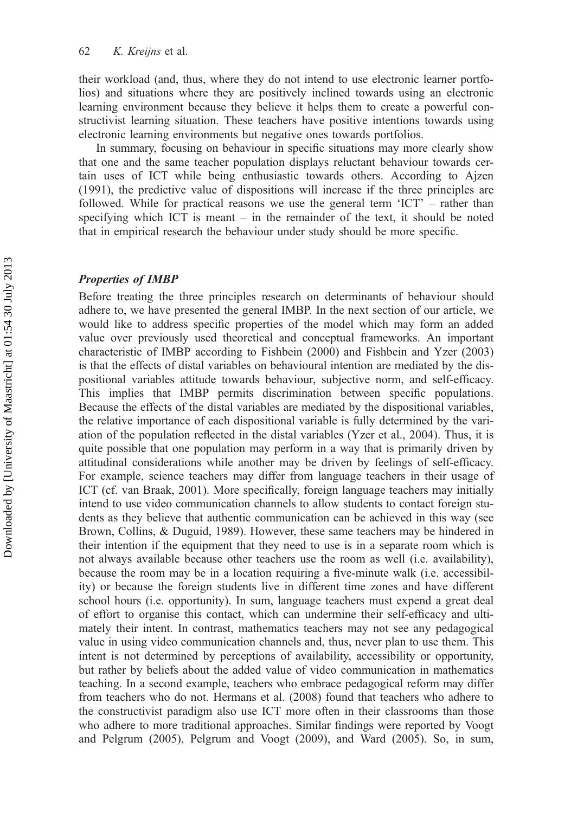their workload (and, thus, where they do not intend to use electronic learner portfolios) and situations where they are positively inclined towards using an electronic learning environment because they believe it helps them to create a powerful constructivist learning situation. These teachers have positive intentions towards using electronic learning environments but negative ones towards portfolios.

In summary, focusing on behaviour in specific situations may more clearly show that one and the same teacher population displays reluctant behaviour towards certain uses of ICT while being enthusiastic towards others. According to Ajzen (1991), the predictive value of dispositions will increase if the three principles are followed. While for practical reasons we use the general term 'ICT' – rather than specifying which ICT is meant – in the remainder of the text, it should be noted that in empirical research the behaviour under study should be more specific.

# Properties of IMBP

Before treating the three principles research on determinants of behaviour should adhere to, we have presented the general IMBP. In the next section of our article, we would like to address specific properties of the model which may form an added value over previously used theoretical and conceptual frameworks. An important characteristic of IMBP according to Fishbein (2000) and Fishbein and Yzer (2003) is that the effects of distal variables on behavioural intention are mediated by the dispositional variables attitude towards behaviour, subjective norm, and self-efficacy. This implies that IMBP permits discrimination between specific populations. Because the effects of the distal variables are mediated by the dispositional variables, the relative importance of each dispositional variable is fully determined by the variation of the population reflected in the distal variables (Yzer et al., 2004). Thus, it is quite possible that one population may perform in a way that is primarily driven by attitudinal considerations while another may be driven by feelings of self-efficacy. For example, science teachers may differ from language teachers in their usage of ICT (cf. van Braak, 2001). More specifically, foreign language teachers may initially intend to use video communication channels to allow students to contact foreign students as they believe that authentic communication can be achieved in this way (see Brown, Collins, & Duguid, 1989). However, these same teachers may be hindered in their intention if the equipment that they need to use is in a separate room which is not always available because other teachers use the room as well (i.e. availability), because the room may be in a location requiring a five-minute walk (i.e. accessibility) or because the foreign students live in different time zones and have different school hours (i.e. opportunity). In sum, language teachers must expend a great deal of effort to organise this contact, which can undermine their self-efficacy and ultimately their intent. In contrast, mathematics teachers may not see any pedagogical value in using video communication channels and, thus, never plan to use them. This intent is not determined by perceptions of availability, accessibility or opportunity, but rather by beliefs about the added value of video communication in mathematics teaching. In a second example, teachers who embrace pedagogical reform may differ from teachers who do not. Hermans et al. (2008) found that teachers who adhere to the constructivist paradigm also use ICT more often in their classrooms than those who adhere to more traditional approaches. Similar findings were reported by Voogt and Pelgrum (2005), Pelgrum and Voogt (2009), and Ward (2005). So, in sum,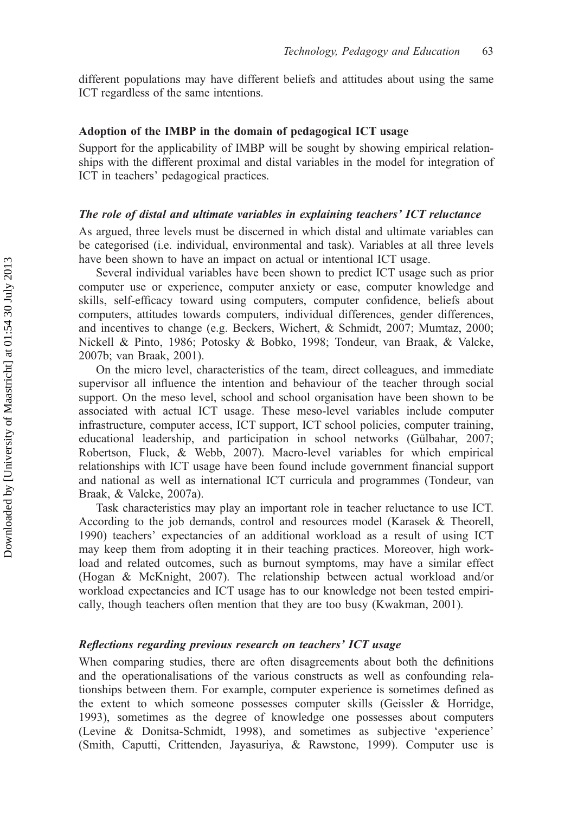different populations may have different beliefs and attitudes about using the same ICT regardless of the same intentions.

# Adoption of the IMBP in the domain of pedagogical ICT usage

Support for the applicability of IMBP will be sought by showing empirical relationships with the different proximal and distal variables in the model for integration of ICT in teachers' pedagogical practices.

### The role of distal and ultimate variables in explaining teachers' ICT reluctance

As argued, three levels must be discerned in which distal and ultimate variables can be categorised (i.e. individual, environmental and task). Variables at all three levels have been shown to have an impact on actual or intentional ICT usage.

Several individual variables have been shown to predict ICT usage such as prior computer use or experience, computer anxiety or ease, computer knowledge and skills, self-efficacy toward using computers, computer confidence, beliefs about computers, attitudes towards computers, individual differences, gender differences, and incentives to change (e.g. Beckers, Wichert, & Schmidt, 2007; Mumtaz, 2000; Nickell & Pinto, 1986; Potosky & Bobko, 1998; Tondeur, van Braak, & Valcke, 2007b; van Braak, 2001).

On the micro level, characteristics of the team, direct colleagues, and immediate supervisor all influence the intention and behaviour of the teacher through social support. On the meso level, school and school organisation have been shown to be associated with actual ICT usage. These meso-level variables include computer infrastructure, computer access, ICT support, ICT school policies, computer training, educational leadership, and participation in school networks (Gülbahar, 2007; Robertson, Fluck, & Webb, 2007). Macro-level variables for which empirical relationships with ICT usage have been found include government financial support and national as well as international ICT curricula and programmes (Tondeur, van Braak, & Valcke, 2007a).

Task characteristics may play an important role in teacher reluctance to use ICT. According to the job demands, control and resources model (Karasek & Theorell, 1990) teachers' expectancies of an additional workload as a result of using ICT may keep them from adopting it in their teaching practices. Moreover, high workload and related outcomes, such as burnout symptoms, may have a similar effect (Hogan & McKnight, 2007). The relationship between actual workload and/or workload expectancies and ICT usage has to our knowledge not been tested empirically, though teachers often mention that they are too busy (Kwakman, 2001).

#### Reflections regarding previous research on teachers' ICT usage

When comparing studies, there are often disagreements about both the definitions and the operationalisations of the various constructs as well as confounding relationships between them. For example, computer experience is sometimes defined as the extent to which someone possesses computer skills (Geissler & Horridge, 1993), sometimes as the degree of knowledge one possesses about computers (Levine & Donitsa-Schmidt, 1998), and sometimes as subjective 'experience' (Smith, Caputti, Crittenden, Jayasuriya, & Rawstone, 1999). Computer use is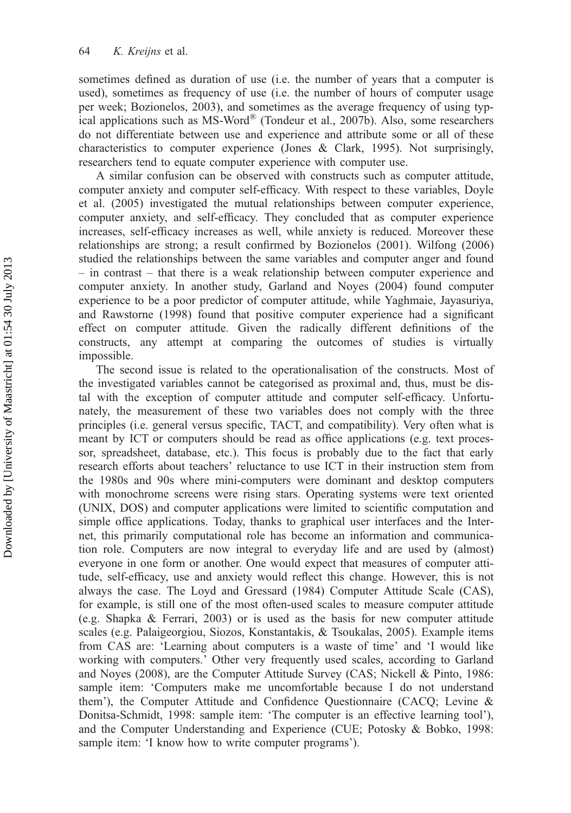sometimes defined as duration of use (i.e. the number of years that a computer is used), sometimes as frequency of use (i.e. the number of hours of computer usage per week; Bozionelos, 2003), and sometimes as the average frequency of using typical applications such as MS-Word® (Tondeur et al., 2007b). Also, some researchers do not differentiate between use and experience and attribute some or all of these characteristics to computer experience (Jones & Clark, 1995). Not surprisingly, researchers tend to equate computer experience with computer use.

A similar confusion can be observed with constructs such as computer attitude, computer anxiety and computer self-efficacy. With respect to these variables, Doyle et al. (2005) investigated the mutual relationships between computer experience, computer anxiety, and self-efficacy. They concluded that as computer experience increases, self-efficacy increases as well, while anxiety is reduced. Moreover these relationships are strong; a result confirmed by Bozionelos (2001). Wilfong (2006) studied the relationships between the same variables and computer anger and found – in contrast – that there is a weak relationship between computer experience and computer anxiety. In another study, Garland and Noyes (2004) found computer experience to be a poor predictor of computer attitude, while Yaghmaie, Jayasuriya, and Rawstorne (1998) found that positive computer experience had a significant effect on computer attitude. Given the radically different definitions of the constructs, any attempt at comparing the outcomes of studies is virtually impossible.

The second issue is related to the operationalisation of the constructs. Most of the investigated variables cannot be categorised as proximal and, thus, must be distal with the exception of computer attitude and computer self-efficacy. Unfortunately, the measurement of these two variables does not comply with the three principles (i.e. general versus specific, TACT, and compatibility). Very often what is meant by ICT or computers should be read as office applications (e.g. text processor, spreadsheet, database, etc.). This focus is probably due to the fact that early research efforts about teachers' reluctance to use ICT in their instruction stem from the 1980s and 90s where mini-computers were dominant and desktop computers with monochrome screens were rising stars. Operating systems were text oriented (UNIX, DOS) and computer applications were limited to scientific computation and simple office applications. Today, thanks to graphical user interfaces and the Internet, this primarily computational role has become an information and communication role. Computers are now integral to everyday life and are used by (almost) everyone in one form or another. One would expect that measures of computer attitude, self-efficacy, use and anxiety would reflect this change. However, this is not always the case. The Loyd and Gressard (1984) Computer Attitude Scale (CAS), for example, is still one of the most often-used scales to measure computer attitude (e.g. Shapka & Ferrari, 2003) or is used as the basis for new computer attitude scales (e.g. Palaigeorgiou, Siozos, Konstantakis, & Tsoukalas, 2005). Example items from CAS are: 'Learning about computers is a waste of time' and 'I would like working with computers.' Other very frequently used scales, according to Garland and Noyes (2008), are the Computer Attitude Survey (CAS; Nickell & Pinto, 1986: sample item: 'Computers make me uncomfortable because I do not understand them'), the Computer Attitude and Confidence Questionnaire (CACQ; Levine & Donitsa-Schmidt, 1998: sample item: 'The computer is an effective learning tool'), and the Computer Understanding and Experience (CUE; Potosky & Bobko, 1998: sample item: 'I know how to write computer programs').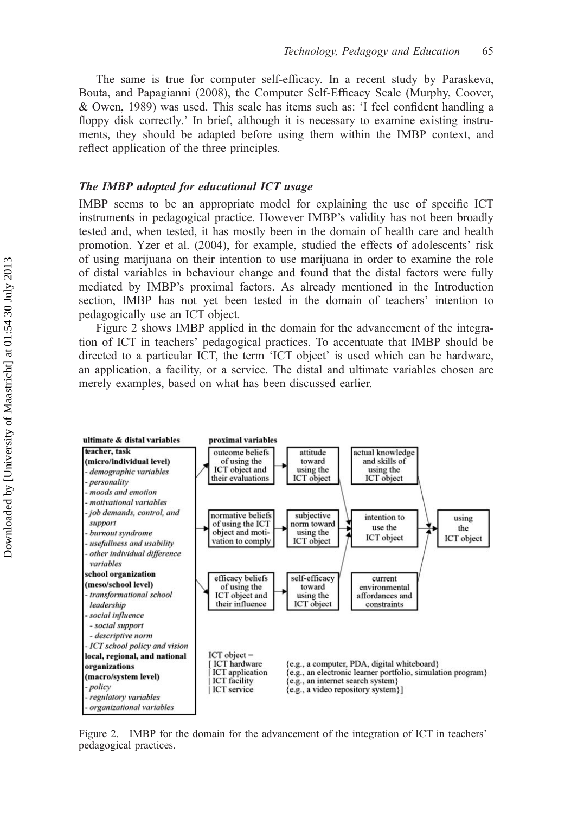The same is true for computer self-efficacy. In a recent study by Paraskeva, Bouta, and Papagianni (2008), the Computer Self-Efficacy Scale (Murphy, Coover, & Owen, 1989) was used. This scale has items such as: 'I feel confident handling a floppy disk correctly.' In brief, although it is necessary to examine existing instruments, they should be adapted before using them within the IMBP context, and reflect application of the three principles.

# The IMBP adopted for educational ICT usage

IMBP seems to be an appropriate model for explaining the use of specific ICT instruments in pedagogical practice. However IMBP's validity has not been broadly tested and, when tested, it has mostly been in the domain of health care and health promotion. Yzer et al. (2004), for example, studied the effects of adolescents' risk of using marijuana on their intention to use marijuana in order to examine the role of distal variables in behaviour change and found that the distal factors were fully mediated by IMBP's proximal factors. As already mentioned in the Introduction section, IMBP has not yet been tested in the domain of teachers' intention to pedagogically use an ICT object.

Figure 2 shows IMBP applied in the domain for the advancement of the integration of ICT in teachers' pedagogical practices. To accentuate that IMBP should be directed to a particular ICT, the term 'ICT object' is used which can be hardware, an application, a facility, or a service. The distal and ultimate variables chosen are merely examples, based on what has been discussed earlier.



Figure 2. IMBP for the domain for the advancement of the integration of ICT in teachers' pedagogical practices.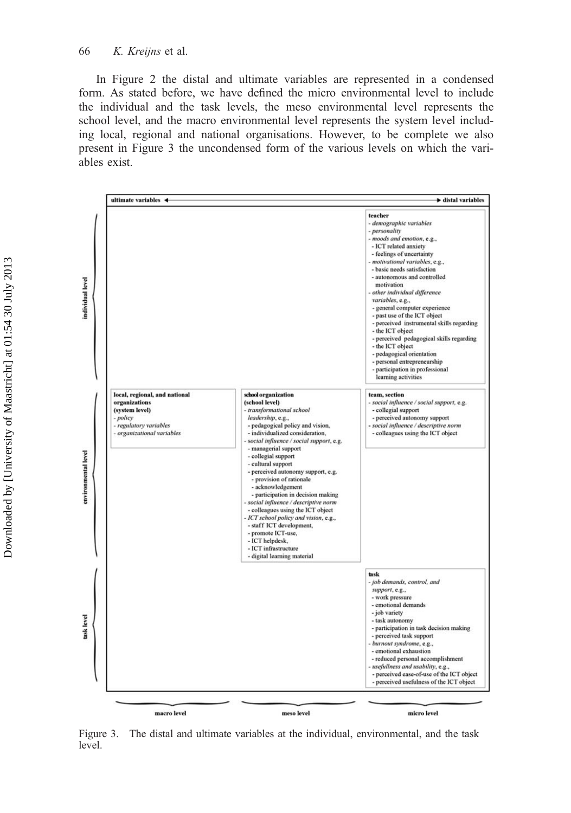In Figure 2 the distal and ultimate variables are represented in a condensed form. As stated before, we have defined the micro environmental level to include the individual and the task levels, the meso environmental level represents the school level, and the macro environmental level represents the system level including local, regional and national organisations. However, to be complete we also present in Figure 3 the uncondensed form of the various levels on which the variables exist.



Figure 3. The distal and ultimate variables at the individual, environmental, and the task level.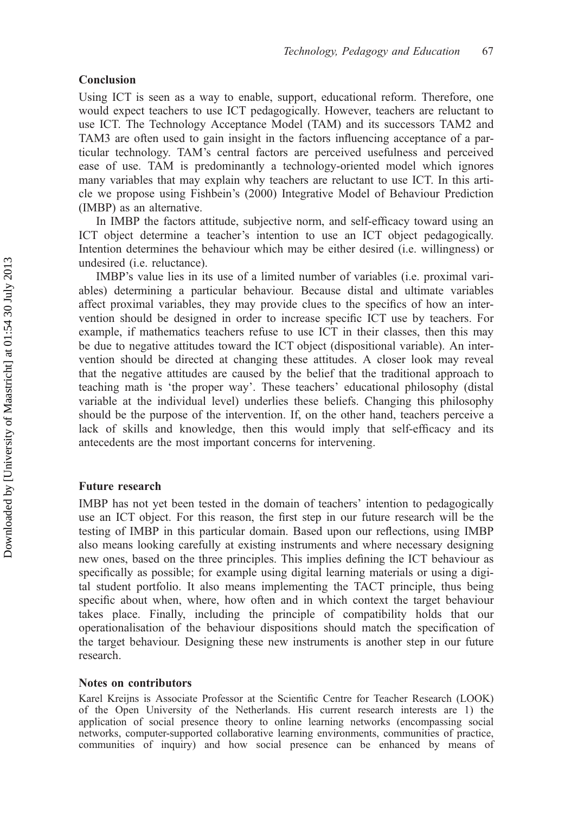# Conclusion

Using ICT is seen as a way to enable, support, educational reform. Therefore, one would expect teachers to use ICT pedagogically. However, teachers are reluctant to use ICT. The Technology Acceptance Model (TAM) and its successors TAM2 and TAM3 are often used to gain insight in the factors influencing acceptance of a particular technology. TAM's central factors are perceived usefulness and perceived ease of use. TAM is predominantly a technology-oriented model which ignores many variables that may explain why teachers are reluctant to use ICT. In this article we propose using Fishbein's (2000) Integrative Model of Behaviour Prediction (IMBP) as an alternative.

In IMBP the factors attitude, subjective norm, and self-efficacy toward using an ICT object determine a teacher's intention to use an ICT object pedagogically. Intention determines the behaviour which may be either desired (i.e. willingness) or undesired (i.e. reluctance).

IMBP's value lies in its use of a limited number of variables (i.e. proximal variables) determining a particular behaviour. Because distal and ultimate variables affect proximal variables, they may provide clues to the specifics of how an intervention should be designed in order to increase specific ICT use by teachers. For example, if mathematics teachers refuse to use ICT in their classes, then this may be due to negative attitudes toward the ICT object (dispositional variable). An intervention should be directed at changing these attitudes. A closer look may reveal that the negative attitudes are caused by the belief that the traditional approach to teaching math is 'the proper way'. These teachers' educational philosophy (distal variable at the individual level) underlies these beliefs. Changing this philosophy should be the purpose of the intervention. If, on the other hand, teachers perceive a lack of skills and knowledge, then this would imply that self-efficacy and its antecedents are the most important concerns for intervening.

#### Future research

IMBP has not yet been tested in the domain of teachers' intention to pedagogically use an ICT object. For this reason, the first step in our future research will be the testing of IMBP in this particular domain. Based upon our reflections, using IMBP also means looking carefully at existing instruments and where necessary designing new ones, based on the three principles. This implies defining the ICT behaviour as specifically as possible; for example using digital learning materials or using a digital student portfolio. It also means implementing the TACT principle, thus being specific about when, where, how often and in which context the target behaviour takes place. Finally, including the principle of compatibility holds that our operationalisation of the behaviour dispositions should match the specification of the target behaviour. Designing these new instruments is another step in our future research.

#### Notes on contributors

Karel Kreijns is Associate Professor at the Scientific Centre for Teacher Research (LOOK) of the Open University of the Netherlands. His current research interests are 1) the application of social presence theory to online learning networks (encompassing social networks, computer-supported collaborative learning environments, communities of practice, communities of inquiry) and how social presence can be enhanced by means of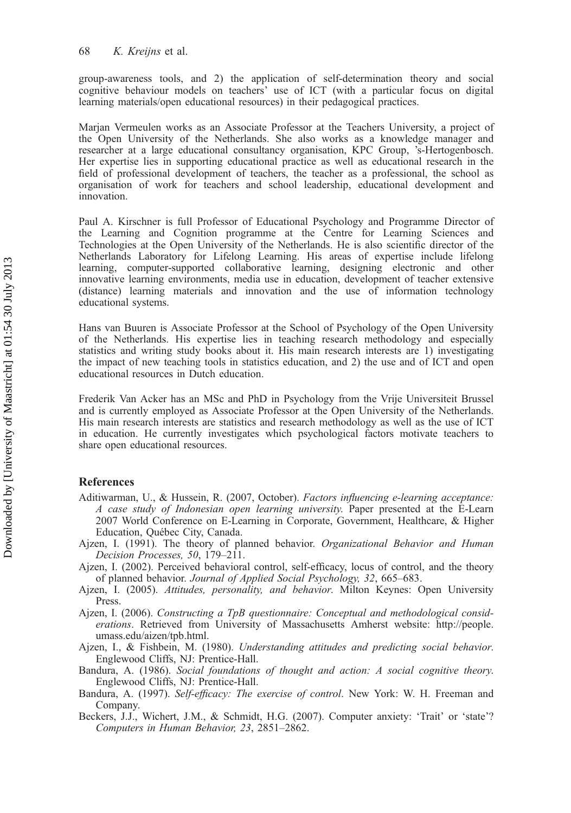group-awareness tools, and 2) the application of self-determination theory and social cognitive behaviour models on teachers' use of ICT (with a particular focus on digital learning materials/open educational resources) in their pedagogical practices.

Marjan Vermeulen works as an Associate Professor at the Teachers University, a project of the Open University of the Netherlands. She also works as a knowledge manager and researcher at a large educational consultancy organisation, KPC Group, 's-Hertogenbosch. Her expertise lies in supporting educational practice as well as educational research in the field of professional development of teachers, the teacher as a professional, the school as organisation of work for teachers and school leadership, educational development and innovation.

Paul A. Kirschner is full Professor of Educational Psychology and Programme Director of the Learning and Cognition programme at the Centre for Learning Sciences and Technologies at the Open University of the Netherlands. He is also scientific director of the Netherlands Laboratory for Lifelong Learning. His areas of expertise include lifelong learning, computer-supported collaborative learning, designing electronic and other innovative learning environments, media use in education, development of teacher extensive (distance) learning materials and innovation and the use of information technology educational systems.

Hans van Buuren is Associate Professor at the School of Psychology of the Open University of the Netherlands. His expertise lies in teaching research methodology and especially statistics and writing study books about it. His main research interests are 1) investigating the impact of new teaching tools in statistics education, and 2) the use and of ICT and open educational resources in Dutch education.

Frederik Van Acker has an MSc and PhD in Psychology from the Vrije Universiteit Brussel and is currently employed as Associate Professor at the Open University of the Netherlands. His main research interests are statistics and research methodology as well as the use of ICT in education. He currently investigates which psychological factors motivate teachers to share open educational resources.

## References

- Aditiwarman, U., & Hussein, R. (2007, October). Factors influencing e-learning acceptance: A case study of Indonesian open learning university. Paper presented at the E-Learn 2007 World Conference on E-Learning in Corporate, Government, Healthcare, & Higher Education, Québec City, Canada.
- Ajzen, I. (1991). The theory of planned behavior. Organizational Behavior and Human Decision Processes, 50, 179–211.
- Ajzen, I. (2002). Perceived behavioral control, self-efficacy, locus of control, and the theory of planned behavior. Journal of Applied Social Psychology, 32, 665–683.
- Ajzen, I. (2005). Attitudes, personality, and behavior. Milton Keynes: Open University Press.
- Ajzen, I. (2006). Constructing a TpB questionnaire: Conceptual and methodological considerations. Retrieved from University of Massachusetts Amherst website: [http://people.](http://people.umass.edu/aizen/tpb.html.) [umass.edu/aizen/tpb.html.](http://people.umass.edu/aizen/tpb.html.)
- Ajzen, I., & Fishbein, M. (1980). Understanding attitudes and predicting social behavior. Englewood Cliffs, NJ: Prentice-Hall.
- Bandura, A. (1986). Social foundations of thought and action: A social cognitive theory. Englewood Cliffs, NJ: Prentice-Hall.
- Bandura, A. (1997). Self-efficacy: The exercise of control. New York: W. H. Freeman and Company.
- Beckers, J.J., Wichert, J.M., & Schmidt, H.G. (2007). Computer anxiety: 'Trait' or 'state'? Computers in Human Behavior, 23, 2851–2862.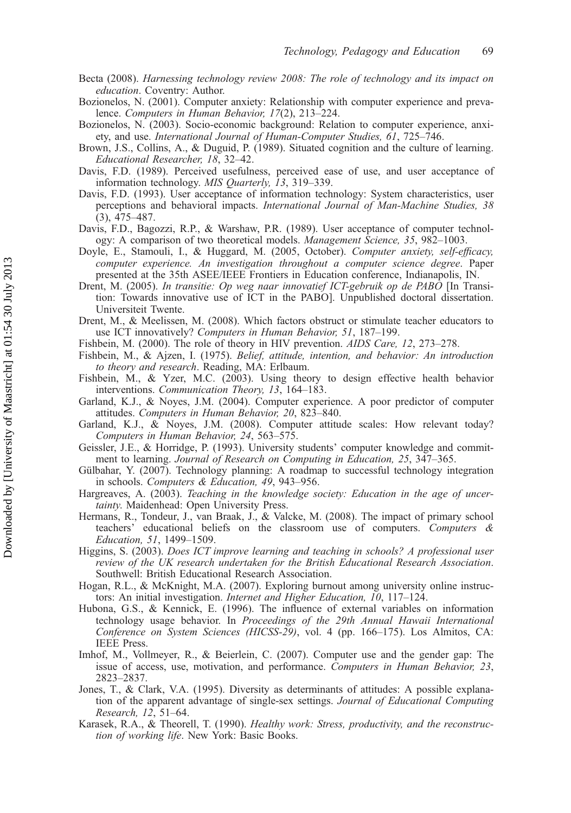- Becta (2008). Harnessing technology review 2008: The role of technology and its impact on education. Coventry: Author.
- Bozionelos, N. (2001). Computer anxiety: Relationship with computer experience and prevalence. Computers in Human Behavior, 17(2), 213–224.
- Bozionelos, N. (2003). Socio-economic background: Relation to computer experience, anxiety, and use. International Journal of Human-Computer Studies, 61, 725–746.
- Brown, J.S., Collins, A., & Duguid, P. (1989). Situated cognition and the culture of learning. Educational Researcher, 18, 32–42.
- Davis, F.D. (1989). Perceived usefulness, perceived ease of use, and user acceptance of information technology. MIS Quarterly, 13, 319–339.
- Davis, F.D. (1993). User acceptance of information technology: System characteristics, user perceptions and behavioral impacts. International Journal of Man-Machine Studies, 38 (3), 475–487.
- Davis, F.D., Bagozzi, R.P., & Warshaw, P.R. (1989). User acceptance of computer technology: A comparison of two theoretical models. Management Science, 35, 982–1003.
- Doyle, E., Stamouli, I., & Huggard, M. (2005, October). Computer anxiety, self-efficacy, computer experience. An investigation throughout a computer science degree. Paper presented at the 35th ASEE/IEEE Frontiers in Education conference, Indianapolis, IN.
- Drent, M. (2005). In transitie: Op weg naar innovatief ICT-gebruik op de PABO [In Transition: Towards innovative use of ICT in the PABO]. Unpublished doctoral dissertation. Universiteit Twente.
- Drent, M., & Meelissen, M. (2008). Which factors obstruct or stimulate teacher educators to use ICT innovatively? Computers in Human Behavior, 51, 187–199.
- Fishbein, M. (2000). The role of theory in HIV prevention. AIDS Care, 12, 273–278.
- Fishbein, M., & Ajzen, I. (1975). Belief, attitude, intention, and behavior: An introduction to theory and research. Reading, MA: Erlbaum.
- Fishbein, M., & Yzer, M.C. (2003). Using theory to design effective health behavior interventions. Communication Theory, 13, 164–183.
- Garland, K.J., & Noyes, J.M. (2004). Computer experience. A poor predictor of computer attitudes. Computers in Human Behavior, 20, 823–840.
- Garland, K.J., & Noyes, J.M. (2008). Computer attitude scales: How relevant today? Computers in Human Behavior, 24, 563–575.
- Geissler, J.E., & Horridge, P. (1993). University students' computer knowledge and commitment to learning. Journal of Research on Computing in Education, 25, 347–365.
- Gülbahar, Y. (2007). Technology planning: A roadmap to successful technology integration in schools. Computers & Education, 49, 943–956.
- Hargreaves, A. (2003). Teaching in the knowledge society: Education in the age of uncertainty. Maidenhead: Open University Press.
- Hermans, R., Tondeur, J., van Braak, J., & Valcke, M. (2008). The impact of primary school teachers' educational beliefs on the classroom use of computers. Computers  $\&$ Education, 51, 1499–1509.
- Higgins, S. (2003). Does ICT improve learning and teaching in schools? A professional user review of the UK research undertaken for the British Educational Research Association. Southwell: British Educational Research Association.
- Hogan, R.L., & McKnight, M.A. (2007). Exploring burnout among university online instructors: An initial investigation. Internet and Higher Education, 10, 117–124.
- Hubona, G.S., & Kennick, E. (1996). The influence of external variables on information technology usage behavior. In Proceedings of the 29th Annual Hawaii International Conference on System Sciences (HICSS-29), vol. 4 (pp. 166–175). Los Almitos, CA: IEEE Press.
- Imhof, M., Vollmeyer, R., & Beierlein, C. (2007). Computer use and the gender gap: The issue of access, use, motivation, and performance. Computers in Human Behavior, 23, 2823–2837.
- Jones, T., & Clark, V.A. (1995). Diversity as determinants of attitudes: A possible explanation of the apparent advantage of single-sex settings. Journal of Educational Computing Research, 12, 51–64.
- Karasek, R.A., & Theorell, T. (1990). Healthy work: Stress, productivity, and the reconstruction of working life. New York: Basic Books.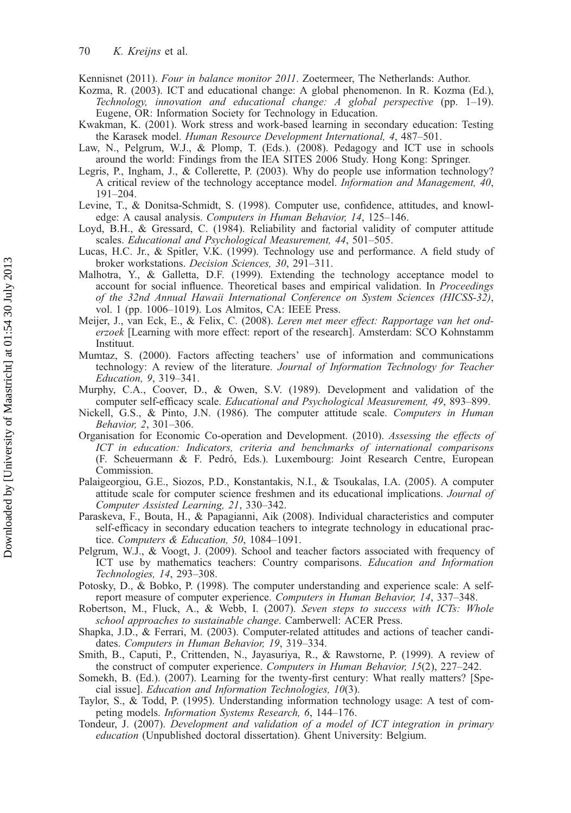Kennisnet (2011). Four in balance monitor 2011. Zoetermeer, The Netherlands: Author.

- Kozma, R. (2003). ICT and educational change: A global phenomenon. In R. Kozma (Ed.), Technology, innovation and educational change: A global perspective (pp. 1–19). Eugene, OR: Information Society for Technology in Education.
- Kwakman, K. (2001). Work stress and work-based learning in secondary education: Testing the Karasek model. Human Resource Development International, 4, 487–501.
- Law, N., Pelgrum, W.J., & Plomp, T. (Eds.). (2008). Pedagogy and ICT use in schools around the world: Findings from the IEA SITES 2006 Study. Hong Kong: Springer.
- Legris, P., Ingham, J., & Collerette, P. (2003). Why do people use information technology? A critical review of the technology acceptance model. Information and Management, 40, 191–204.
- Levine, T., & Donitsa-Schmidt, S. (1998). Computer use, confidence, attitudes, and knowledge: A causal analysis. Computers in Human Behavior, 14, 125–146.
- Loyd, B.H., & Gressard, C. (1984). Reliability and factorial validity of computer attitude scales. Educational and Psychological Measurement, 44, 501–505.
- Lucas, H.C. Jr., & Spitler, V.K. (1999). Technology use and performance. A field study of broker workstations. Decision Sciences, 30, 291–311.
- Malhotra, Y., & Galletta, D.F. (1999). Extending the technology acceptance model to account for social influence. Theoretical bases and empirical validation. In Proceedings of the 32nd Annual Hawaii International Conference on System Sciences (HICSS-32), vol. 1 (pp. 1006–1019). Los Almitos, CA: IEEE Press.
- Meijer, J., van Eck, E., & Felix, C. (2008). Leren met meer effect: Rapportage van het onderzoek [Learning with more effect: report of the research]. Amsterdam: SCO Kohnstamm Instituut.
- Mumtaz, S. (2000). Factors affecting teachers' use of information and communications technology: A review of the literature. Journal of Information Technology for Teacher Education, 9, 319–341.
- Murphy, C.A., Coover, D., & Owen, S.V. (1989). Development and validation of the computer self-efficacy scale. Educational and Psychological Measurement, 49, 893–899.
- Nickell, G.S., & Pinto, J.N. (1986). The computer attitude scale. Computers in Human Behavior, 2, 301–306.
- Organisation for Economic Co-operation and Development. (2010). Assessing the effects of ICT in education: Indicators, criteria and benchmarks of international comparisons (F. Scheuermann & F. Pedró, Eds.). Luxembourg: Joint Research Centre, European Commission.
- Palaigeorgiou, G.E., Siozos, P.D., Konstantakis, N.I., & Tsoukalas, I.A. (2005). A computer attitude scale for computer science freshmen and its educational implications. Journal of Computer Assisted Learning, 21, 330–342.
- Paraskeva, F., Bouta, H., & Papagianni, Aik (2008). Individual characteristics and computer self-efficacy in secondary education teachers to integrate technology in educational practice. Computers & Education, 50, 1084–1091.
- Pelgrum, W.J., & Voogt, J. (2009). School and teacher factors associated with frequency of ICT use by mathematics teachers: Country comparisons. Education and Information Technologies, 14, 293–308.
- Potosky, D., & Bobko, P. (1998). The computer understanding and experience scale: A selfreport measure of computer experience. Computers in Human Behavior, 14, 337–348.
- Robertson, M., Fluck, A., & Webb, I. (2007). Seven steps to success with ICTs: Whole school approaches to sustainable change. Camberwell: ACER Press.
- Shapka, J.D., & Ferrari, M. (2003). Computer-related attitudes and actions of teacher candidates. Computers in Human Behavior, 19, 319–334.
- Smith, B., Caputi, P., Crittenden, N., Jayasuriya, R., & Rawstorne, P. (1999). A review of the construct of computer experience. Computers in Human Behavior, 15(2), 227–242.
- Somekh, B. (Ed.). (2007). Learning for the twenty-first century: What really matters? [Special issue]. Education and Information Technologies, 10(3).
- Taylor, S., & Todd, P. (1995). Understanding information technology usage: A test of competing models. Information Systems Research, 6, 144–176.
- Tondeur, J. (2007). Development and validation of a model of ICT integration in primary education (Unpublished doctoral dissertation). Ghent University: Belgium.